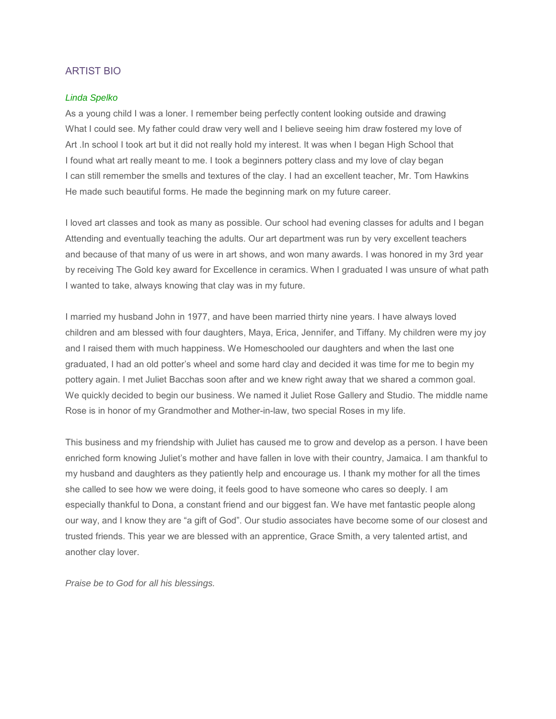## ARTIST BIO

## *Linda Spelko*

As a young child I was a loner. I remember being perfectly content looking outside and drawing What I could see. My father could draw very well and I believe seeing him draw fostered my love of Art .In school I took art but it did not really hold my interest. It was when I began High School that I found what art really meant to me. I took a beginners pottery class and my love of clay began I can still remember the smells and textures of the clay. I had an excellent teacher, Mr. Tom Hawkins He made such beautiful forms. He made the beginning mark on my future career.

I loved art classes and took as many as possible. Our school had evening classes for adults and I began Attending and eventually teaching the adults. Our art department was run by very excellent teachers and because of that many of us were in art shows, and won many awards. I was honored in my 3rd year by receiving The Gold key award for Excellence in ceramics. When I graduated I was unsure of what path I wanted to take, always knowing that clay was in my future.

I married my husband John in 1977, and have been married thirty nine years. I have always loved children and am blessed with four daughters, Maya, Erica, Jennifer, and Tiffany. My children were my joy and I raised them with much happiness. We Homeschooled our daughters and when the last one graduated, I had an old potter's wheel and some hard clay and decided it was time for me to begin my pottery again. I met Juliet Bacchas soon after and we knew right away that we shared a common goal. We quickly decided to begin our business. We named it Juliet Rose Gallery and Studio. The middle name Rose is in honor of my Grandmother and Mother-in-law, two special Roses in my life.

This business and my friendship with Juliet has caused me to grow and develop as a person. I have been enriched form knowing Juliet's mother and have fallen in love with their country, Jamaica. I am thankful to my husband and daughters as they patiently help and encourage us. I thank my mother for all the times she called to see how we were doing, it feels good to have someone who cares so deeply. I am especially thankful to Dona, a constant friend and our biggest fan. We have met fantastic people along our way, and I know they are "a gift of God". Our studio associates have become some of our closest and trusted friends. This year we are blessed with an apprentice, Grace Smith, a very talented artist, and another clay lover.

*Praise be to God for all his blessings.*